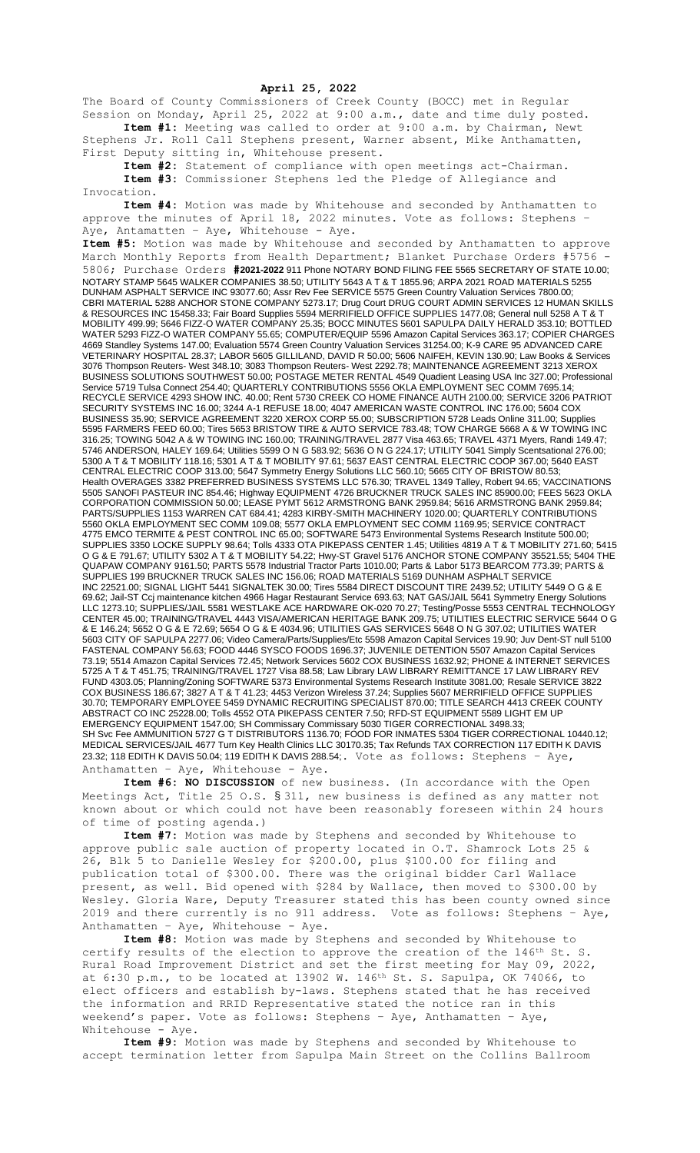## **April 25, 2022**

The Board of County Commissioners of Creek County (BOCC) met in Regular Session on Monday, April 25, 2022 at 9:00 a.m., date and time duly posted. **Item #1:** Meeting was called to order at 9:00 a.m. by Chairman, Newt Stephens Jr. Roll Call Stephens present, Warner absent, Mike Anthamatten,

First Deputy sitting in, Whitehouse present. **Item #2:** Statement of compliance with open meetings act-Chairman.

**Item #3:** Commissioner Stephens led the Pledge of Allegiance and Invocation.

**Item #4:** Motion was made by Whitehouse and seconded by Anthamatten to approve the minutes of April 18, 2022 minutes. Vote as follows: Stephens – Aye, Antamatten - Aye, Whitehouse - Aye.

**Item #5:** Motion was made by Whitehouse and seconded by Anthamatten to approve March Monthly Reports from Health Department; Blanket Purchase Orders #5756 -5806; Purchase Orders **#2021-2022** 911 Phone NOTARY BOND FILING FEE 5565 SECRETARY OF STATE 10.00; NOTARY STAMP 5645 WALKER COMPANIES 38.50; UTILITY 5643 A T & T 1855.96; ARPA 2021 ROAD MATERIALS 5255 DUNHAM ASPHALT SERVICE INC 93077.60; Assr Rev Fee SERVICE 5575 Green Country Valuation Services 7800.00; CBRI MATERIAL 5288 ANCHOR STONE COMPANY 5273.17; Drug Court DRUG COURT ADMIN SERVICES 12 HUMAN SKILLS & RESOURCES INC 15458.33; Fair Board Supplies 5594 MERRIFIELD OFFICE SUPPLIES 1477.08; General null 5258 A T & T MOBILITY 499.99; 5646 FIZZ-O WATER COMPANY 25.35; BOCC MINUTES 5601 SAPULPA DAILY HERALD 353.10; BOTTLED WATER 5293 FIZZ-O WATER COMPANY 55.65; COMPUTER/EQUIP 5596 Amazon Capital Services 363.17; COPIER CHARGES 4669 Standley Systems 147.00; Evaluation 5574 Green Country Valuation Services 31254.00; K-9 CARE 95 ADVANCED CARE VETERINARY HOSPITAL 28.37; LABOR 5605 GILLILAND, DAVID R 50.00; 5606 NAIFEH, KEVIN 130.90; Law Books & Services 3076 Thompson Reuters- West 348.10; 3083 Thompson Reuters- West 2292.78; MAINTENANCE AGREEMENT 3213 XEROX BUSINESS SOLUTIONS SOUTHWEST 50.00; POSTAGE METER RENTAL 4549 Quadient Leasing USA Inc 327.00; Professional Service 5719 Tulsa Connect 254.40; QUARTERLY CONTRIBUTIONS 5556 OKLA EMPLOYMENT SEC COMM 7695.14; RECYCLE SERVICE 4293 SHOW INC. 40.00; Rent 5730 CREEK CO HOME FINANCE AUTH 2100.00; SERVICE 3206 PATRIOT SECURITY SYSTEMS INC 16.00; 3244 A-1 REFUSE 18.00; 4047 AMERICAN WASTE CONTROL INC 176.00; 5604 COX BUSINESS 35.90; SERVICE AGREEMENT 3220 XEROX CORP 55.00; SUBSCRIPTION 5728 Leads Online 311.00; Supplies 5595 FARMERS FEED 60.00; Tires 5653 BRISTOW TIRE & AUTO SERVICE 783.48; TOW CHARGE 5668 A & W TOWING INC 316.25; TOWING 5042 A & W TOWING INC 160.00; TRAINING/TRAVEL 2877 Visa 463.65; TRAVEL 4371 Myers, Randi 149.47; 5746 ANDERSON, HALEY 169.64; Utilities 5599 O N G 583.92; 5636 O N G 224.17; UTILITY 5041 Simply Scentsational 276.00; 5300 A T & T MOBILITY 118.16; 5301 A T & T MOBILITY 97.61; 5637 EAST CENTRAL ELECTRIC COOP 367.00; 5640 EAST CENTRAL ELECTRIC COOP 313.00; 5647 Symmetry Energy Solutions LLC 560.10; 5665 CITY OF BRISTOW 80.53; Health OVERAGES 3382 PREFERRED BUSINESS SYSTEMS LLC 576.30; TRAVEL 1349 Talley, Robert 94.65; VACCINATIONS 5505 SANOFI PASTEUR INC 854.46; Highway EQUIPMENT 4726 BRUCKNER TRUCK SALES INC 85900.00; FEES 5623 OKLA CORPORATION COMMISSION 50.00; LEASE PYMT 5612 ARMSTRONG BANK 2959.84; 5616 ARMSTRONG BANK 2959.84; PARTS/SUPPLIES 1153 WARREN CAT 684.41; 4283 KIRBY-SMITH MACHINERY 1020.00; QUARTERLY CONTRIBUTIONS 5560 OKLA EMPLOYMENT SEC COMM 109.08; 5577 OKLA EMPLOYMENT SEC COMM 1169.95; SERVICE CONTRACT 4775 EMCO TERMITE & PEST CONTROL INC 65.00; SOFTWARE 5473 Environmental Systems Research Institute 500.00; SUPPLIES 3350 LOCKE SUPPLY 98.64; Tolls 4333 OTA PIKEPASS CENTER 1.45; Utilities 4819 A T & T MOBILITY 271.60; 5415 O G & E 791.67; UTILITY 5302 A T & T MOBILITY 54.22; Hwy-ST Gravel 5176 ANCHOR STONE COMPANY 35521.55; 5404 THE QUAPAW COMPANY 9161.50; PARTS 5578 Industrial Tractor Parts 1010.00; Parts & Labor 5173 BEARCOM 773.39; PARTS & SUPPLIES 199 BRUCKNER TRUCK SALES INC 156.06; ROAD MATERIALS 5169 DUNHAM ASPHALT SERVICE INC 22521.00; SIGNAL LIGHT 5441 SIGNALTEK 30.00; Tires 5584 DIRECT DISCOUNT TIRE 2439.52; UTILITY 5449 O G & E 69.62; Jail-ST Ccj maintenance kitchen 4966 Hagar Restaurant Service 693.63; NAT GAS/JAIL 5641 Symmetry Energy Solutions LLC 1273.10; SUPPLIES/JAIL 5581 WESTLAKE ACE HARDWARE OK-020 70.27; Testing/Posse 5553 CENTRAL TECHNOLOGY CENTER 45.00; TRAINING/TRAVEL 4443 VISA/AMERICAN HERITAGE BANK 209.75; UTILITIES ELECTRIC SERVICE 5644 O G & E 146.24; 5652 O G & E 72.69; 5654 O G & E 4034.96; UTILITIES GAS SERVICES 5648 O N G 307.02; UTILITIES WATER 5603 CITY OF SAPULPA 2277.06; Video Camera/Parts/Supplies/Etc 5598 Amazon Capital Services 19.90; Juv Dent-ST null 5100 FASTENAL COMPANY 56.63; FOOD 4446 SYSCO FOODS 1696.37; JUVENILE DETENTION 5507 Amazon Capital Services 73.19; 5514 Amazon Capital Services 72.45; Network Services 5602 COX BUSINESS 1632.92; PHONE & INTERNET SERVICES 5725 A T & T 451.75; TRAINING/TRAVEL 1727 Visa 88.58; Law Library LAW LIBRARY REMITTANCE 17 LAW LIBRARY REV FUND 4303.05; Planning/Zoning SOFTWARE 5373 Environmental Systems Research Institute 3081.00; Resale SERVICE 3822 COX BUSINESS 186.67; 3827 A T & T 41.23; 4453 Verizon Wireless 37.24; Supplies 5607 MERRIFIELD OFFICE SUPPLIES 30.70; TEMPORARY EMPLOYEE 5459 DYNAMIC RECRUITING SPECIALIST 870.00; TITLE SEARCH 4413 CREEK COUNTY ABSTRACT CO INC 25228.00; Tolls 4552 OTA PIKEPASS CENTER 7.50; RFD-ST EQUIPMENT 5589 LIGHT EM UP EMERGENCY EQUIPMENT 1547.00; SH Commissary Commissary 5030 TIGER CORRECTIONAL 3498.33; SH Svc Fee AMMUNITION 5727 G T DISTRIBUTORS 1136.70; FOOD FOR INMATES 5304 TIGER CORRECTIONAL 10440.12; MEDICAL SERVICES/JAIL 4677 Turn Key Health Clinics LLC 30170.35; Tax Refunds TAX CORRECTION 117 EDITH K DAVIS 23.32; 118 EDITH K DAVIS 50.04; 119 EDITH K DAVIS 288.54;. Vote as follows: Stephens – Aye, Anthamatten -  $Aye$ , Whitehouse -  $Aye$ .

**Item #6: NO DISCUSSION** of new business. (In accordance with the Open Meetings Act, Title 25 O.S. § 311, new business is defined as any matter not known about or which could not have been reasonably foreseen within 24 hours of time of posting agenda.)

**Item #7:** Motion was made by Stephens and seconded by Whitehouse to approve public sale auction of property located in O.T. Shamrock Lots 25 & 26, Blk 5 to Danielle Wesley for \$200.00, plus \$100.00 for filing and publication total of \$300.00. There was the original bidder Carl Wallace present, as well. Bid opened with \$284 by Wallace, then moved to \$300.00 by Wesley. Gloria Ware, Deputy Treasurer stated this has been county owned since 2019 and there currently is no 911 address. Vote as follows: Stephens - Aye, Anthamatten – Aye, Whitehouse - Aye.

**Item #8:** Motion was made by Stephens and seconded by Whitehouse to certify results of the election to approve the creation of the 146<sup>th</sup> St. S. Rural Road Improvement District and set the first meeting for May 09, 2022, at  $6:30$  p.m., to be located at 13902 W. 146<sup>th</sup> St. S. Sapulpa, OK 74066, to elect officers and establish by-laws. Stephens stated that he has received the information and RRID Representative stated the notice ran in this weekend's paper. Vote as follows: Stephens – Aye, Anthamatten – Aye, Whitehouse - Aye.

**Item #9:** Motion was made by Stephens and seconded by Whitehouse to accept termination letter from Sapulpa Main Street on the Collins Ballroom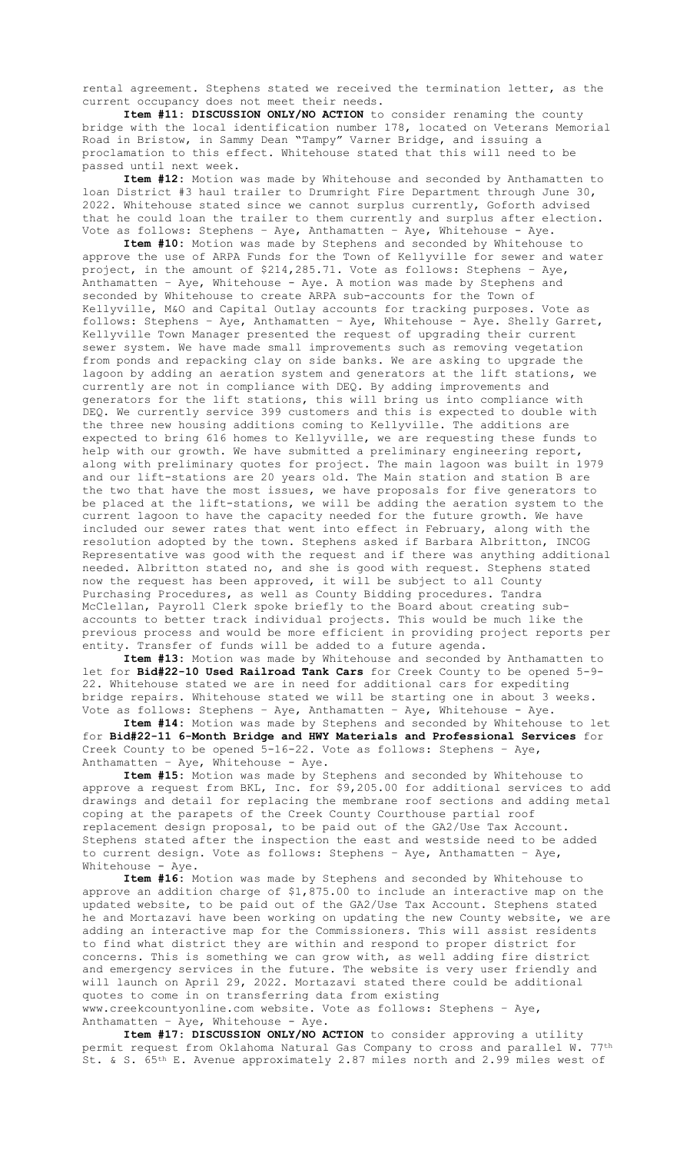rental agreement. Stephens stated we received the termination letter, as the current occupancy does not meet their needs.

**Item #11: DISCUSSION ONLY/NO ACTION** to consider renaming the county bridge with the local identification number 178, located on Veterans Memorial Road in Bristow, in Sammy Dean "Tampy" Varner Bridge, and issuing a proclamation to this effect. Whitehouse stated that this will need to be passed until next week.

**Item #12:** Motion was made by Whitehouse and seconded by Anthamatten to loan District #3 haul trailer to Drumright Fire Department through June 30, 2022. Whitehouse stated since we cannot surplus currently, Goforth advised that he could loan the trailer to them currently and surplus after election. Vote as follows: Stephens – Aye, Anthamatten – Aye, Whitehouse - Aye.

**Item #10:** Motion was made by Stephens and seconded by Whitehouse to approve the use of ARPA Funds for the Town of Kellyville for sewer and water project, in the amount of \$214,285.71. Vote as follows: Stephens – Aye, Anthamatten - Aye, Whitehouse - Aye. A motion was made by Stephens and seconded by Whitehouse to create ARPA sub-accounts for the Town of Kellyville, M&O and Capital Outlay accounts for tracking purposes. Vote as follows: Stephens – Aye, Anthamatten – Aye, Whitehouse - Aye. Shelly Garret, Kellyville Town Manager presented the request of upgrading their current sewer system. We have made small improvements such as removing vegetation from ponds and repacking clay on side banks. We are asking to upgrade the lagoon by adding an aeration system and generators at the lift stations, we currently are not in compliance with DEQ. By adding improvements and generators for the lift stations, this will bring us into compliance with DEQ. We currently service 399 customers and this is expected to double with the three new housing additions coming to Kellyville. The additions are expected to bring 616 homes to Kellyville, we are requesting these funds to help with our growth. We have submitted a preliminary engineering report, along with preliminary quotes for project. The main lagoon was built in 1979 and our lift-stations are 20 years old. The Main station and station B are the two that have the most issues, we have proposals for five generators to be placed at the lift-stations, we will be adding the aeration system to the current lagoon to have the capacity needed for the future growth. We have included our sewer rates that went into effect in February, along with the resolution adopted by the town. Stephens asked if Barbara Albritton, INCOG Representative was good with the request and if there was anything additional needed. Albritton stated no, and she is good with request. Stephens stated now the request has been approved, it will be subject to all County Purchasing Procedures, as well as County Bidding procedures. Tandra McClellan, Payroll Clerk spoke briefly to the Board about creating subaccounts to better track individual projects. This would be much like the previous process and would be more efficient in providing project reports per entity. Transfer of funds will be added to a future agenda.

**Item #13:** Motion was made by Whitehouse and seconded by Anthamatten to let for **Bid#22-10 Used Railroad Tank Cars** for Creek County to be opened 5-9- 22. Whitehouse stated we are in need for additional cars for expediting bridge repairs. Whitehouse stated we will be starting one in about 3 weeks. Vote as follows: Stephens – Aye, Anthamatten – Aye, Whitehouse - Aye.

**Item #14:** Motion was made by Stephens and seconded by Whitehouse to let for **Bid#22-11 6-Month Bridge and HWY Materials and Professional Services** for Creek County to be opened 5-16-22. Vote as follows: Stephens – Aye, Anthamatten – Aye, Whitehouse - Aye.

**Item #15:** Motion was made by Stephens and seconded by Whitehouse to approve a request from BKL, Inc. for \$9,205.00 for additional services to add drawings and detail for replacing the membrane roof sections and adding metal coping at the parapets of the Creek County Courthouse partial roof replacement design proposal, to be paid out of the GA2/Use Tax Account. Stephens stated after the inspection the east and westside need to be added to current design. Vote as follows: Stephens – Aye, Anthamatten – Aye, Whitehouse - Aye.

**Item #16:** Motion was made by Stephens and seconded by Whitehouse to approve an addition charge of \$1,875.00 to include an interactive map on the updated website, to be paid out of the GA2/Use Tax Account. Stephens stated he and Mortazavi have been working on updating the new County website, we are adding an interactive map for the Commissioners. This will assist residents to find what district they are within and respond to proper district for concerns. This is something we can grow with, as well adding fire district and emergency services in the future. The website is very user friendly and will launch on April 29, 2022. Mortazavi stated there could be additional quotes to come in on transferring data from existing www.creekcountyonline.com website. Vote as follows: Stephens – Aye,

Anthamatten – Aye, Whitehouse - Aye. **Item #17: DISCUSSION ONLY/NO ACTION** to consider approving a utility

permit request from Oklahoma Natural Gas Company to cross and parallel W. 77th St. & S. 65th E. Avenue approximately 2.87 miles north and 2.99 miles west of